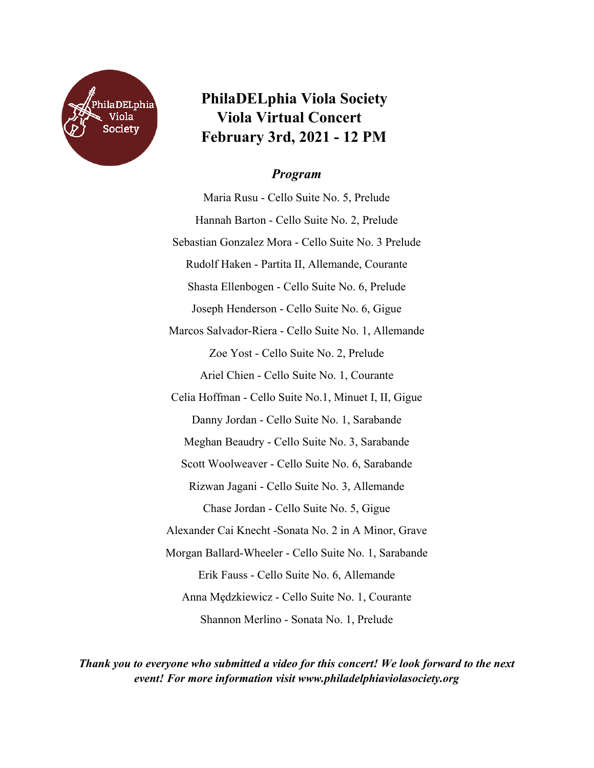

## **PhilaDELphia Viola Society Viola Virtual Concert February 3rd, 2021 - 12 PM**

## *Program*

Maria Rusu - Cello Suite No. 5, Prelude Hannah Barton - Cello Suite No. 2, Prelude Sebastian Gonzalez Mora - Cello Suite No. 3 Prelude Rudolf Haken - Partita II, Allemande, Courante Shasta Ellenbogen - Cello Suite No. 6, Prelude Joseph Henderson - Cello Suite No. 6, Gigue Marcos Salvador-Riera - Cello Suite No. 1, Allemande Zoe Yost - Cello Suite No. 2, Prelude Ariel Chien - Cello Suite No. 1, Courante Celia Hoffman - Cello Suite No.1, Minuet I, II, Gigue Danny Jordan - Cello Suite No. 1, Sarabande Meghan Beaudry - Cello Suite No. 3, Sarabande Scott Woolweaver - Cello Suite No. 6, Sarabande Rizwan Jagani - Cello Suite No. 3, Allemande Chase Jordan - Cello Suite No. 5, Gigue Alexander Cai Knecht -Sonata No. 2 in A Minor, Grave Morgan Ballard-Wheeler - Cello Suite No. 1, Sarabande Erik Fauss - Cello Suite No. 6, Allemande Anna Mędzkiewicz - Cello Suite No. 1, Courante Shannon Merlino - Sonata No. 1, Prelude

*Thank you to everyone who submitted a video for this concert! We look forward to the next event! For more information visit www.philadelphiaviolasociety.org*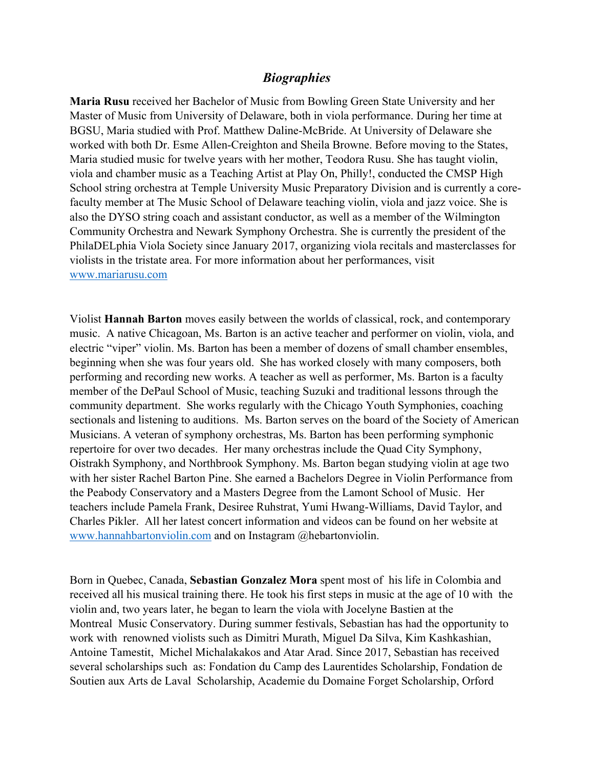## *Biographies*

**Maria Rusu** received her Bachelor of Music from Bowling Green State University and her Master of Music from University of Delaware, both in viola performance. During her time at BGSU, Maria studied with Prof. Matthew Daline-McBride. At University of Delaware she worked with both Dr. Esme Allen-Creighton and Sheila Browne. Before moving to the States, Maria studied music for twelve years with her mother, Teodora Rusu. She has taught violin, viola and chamber music as a Teaching Artist at Play On, Philly!, conducted the CMSP High School string orchestra at Temple University Music Preparatory Division and is currently a corefaculty member at The Music School of Delaware teaching violin, viola and jazz voice. She is also the DYSO string coach and assistant conductor, as well as a member of the Wilmington Community Orchestra and Newark Symphony Orchestra. She is currently the president of the PhilaDELphia Viola Society since January 2017, organizing viola recitals and masterclasses for violists in the tristate area. For more information about her performances, visit www.mariarusu.com

Violist **Hannah Barton** moves easily between the worlds of classical, rock, and contemporary music. A native Chicagoan, Ms. Barton is an active teacher and performer on violin, viola, and electric "viper" violin. Ms. Barton has been a member of dozens of small chamber ensembles, beginning when she was four years old. She has worked closely with many composers, both performing and recording new works. A teacher as well as performer, Ms. Barton is a faculty member of the DePaul School of Music, teaching Suzuki and traditional lessons through the community department. She works regularly with the Chicago Youth Symphonies, coaching sectionals and listening to auditions. Ms. Barton serves on the board of the Society of American Musicians. A veteran of symphony orchestras, Ms. Barton has been performing symphonic repertoire for over two decades. Her many orchestras include the Quad City Symphony, Oistrakh Symphony, and Northbrook Symphony. Ms. Barton began studying violin at age two with her sister Rachel Barton Pine. She earned a Bachelors Degree in Violin Performance from the Peabody Conservatory and a Masters Degree from the Lamont School of Music. Her teachers include Pamela Frank, Desiree Ruhstrat, Yumi Hwang-Williams, David Taylor, and Charles Pikler. All her latest concert information and videos can be found on her website at www.hannahbartonviolin.com and on Instagram @hebartonviolin.

Born in Quebec, Canada, **Sebastian Gonzalez Mora** spent most of his life in Colombia and received all his musical training there. He took his first steps in music at the age of 10 with the violin and, two years later, he began to learn the viola with Jocelyne Bastien at the Montreal Music Conservatory. During summer festivals, Sebastian has had the opportunity to work with renowned violists such as Dimitri Murath, Miguel Da Silva, Kim Kashkashian, Antoine Tamestit, Michel Michalakakos and Atar Arad. Since 2017, Sebastian has received several scholarships such as: Fondation du Camp des Laurentides Scholarship, Fondation de Soutien aux Arts de Laval Scholarship, Academie du Domaine Forget Scholarship, Orford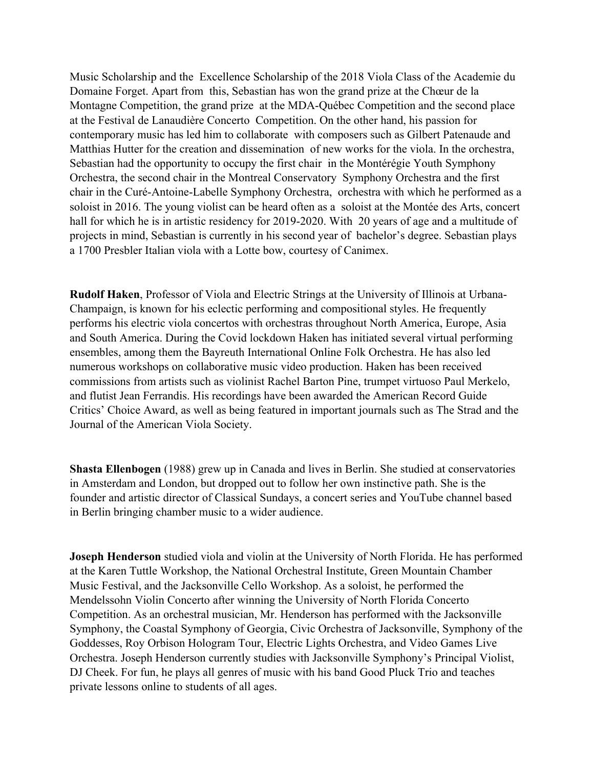Music Scholarship and the Excellence Scholarship of the 2018 Viola Class of the Academie du Domaine Forget. Apart from this, Sebastian has won the grand prize at the Chœur de la Montagne Competition, the grand prize at the MDA-Québec Competition and the second place at the Festival de Lanaudière Concerto Competition. On the other hand, his passion for contemporary music has led him to collaborate with composers such as Gilbert Patenaude and Matthias Hutter for the creation and dissemination of new works for the viola. In the orchestra, Sebastian had the opportunity to occupy the first chair in the Montérégie Youth Symphony Orchestra, the second chair in the Montreal Conservatory Symphony Orchestra and the first chair in the Curé-Antoine-Labelle Symphony Orchestra, orchestra with which he performed as a soloist in 2016. The young violist can be heard often as a soloist at the Montée des Arts, concert hall for which he is in artistic residency for 2019-2020. With 20 years of age and a multitude of projects in mind, Sebastian is currently in his second year of bachelor's degree. Sebastian plays a 1700 Presbler Italian viola with a Lotte bow, courtesy of Canimex.

**Rudolf Haken**, Professor of Viola and Electric Strings at the University of Illinois at Urbana-Champaign, is known for his eclectic performing and compositional styles. He frequently performs his electric viola concertos with orchestras throughout North America, Europe, Asia and South America. During the Covid lockdown Haken has initiated several virtual performing ensembles, among them the Bayreuth International Online Folk Orchestra. He has also led numerous workshops on collaborative music video production. Haken has been received commissions from artists such as violinist Rachel Barton Pine, trumpet virtuoso Paul Merkelo, and flutist Jean Ferrandis. His recordings have been awarded the American Record Guide Critics' Choice Award, as well as being featured in important journals such as The Strad and the Journal of the American Viola Society.

**Shasta Ellenbogen** (1988) grew up in Canada and lives in Berlin. She studied at conservatories in Amsterdam and London, but dropped out to follow her own instinctive path. She is the founder and artistic director of Classical Sundays, a concert series and YouTube channel based in Berlin bringing chamber music to a wider audience.

**Joseph Henderson** studied viola and violin at the University of North Florida. He has performed at the Karen Tuttle Workshop, the National Orchestral Institute, Green Mountain Chamber Music Festival, and the Jacksonville Cello Workshop. As a soloist, he performed the Mendelssohn Violin Concerto after winning the University of North Florida Concerto Competition. As an orchestral musician, Mr. Henderson has performed with the Jacksonville Symphony, the Coastal Symphony of Georgia, Civic Orchestra of Jacksonville, Symphony of the Goddesses, Roy Orbison Hologram Tour, Electric Lights Orchestra, and Video Games Live Orchestra. Joseph Henderson currently studies with Jacksonville Symphony's Principal Violist, DJ Cheek. For fun, he plays all genres of music with his band Good Pluck Trio and teaches private lessons online to students of all ages.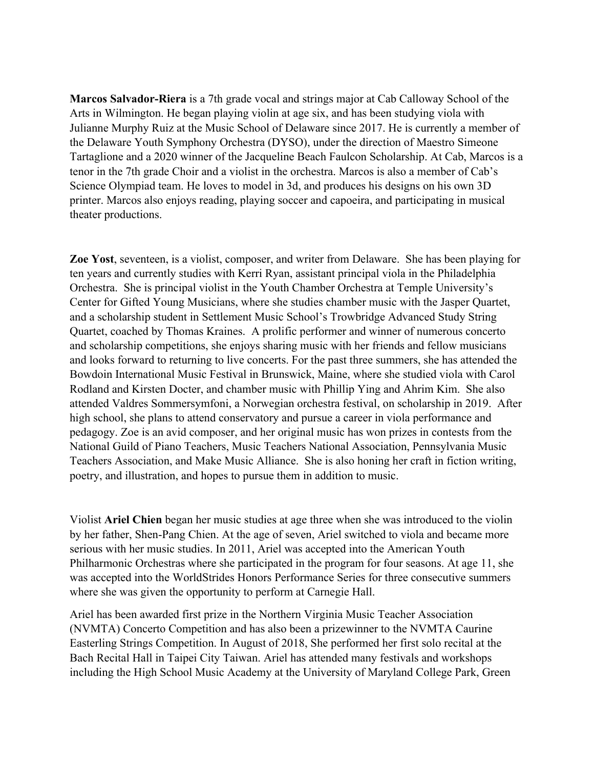**Marcos Salvador-Riera** is a 7th grade vocal and strings major at Cab Calloway School of the Arts in Wilmington. He began playing violin at age six, and has been studying viola with Julianne Murphy Ruiz at the Music School of Delaware since 2017. He is currently a member of the Delaware Youth Symphony Orchestra (DYSO), under the direction of Maestro Simeone Tartaglione and a 2020 winner of the Jacqueline Beach Faulcon Scholarship. At Cab, Marcos is a tenor in the 7th grade Choir and a violist in the orchestra. Marcos is also a member of Cab's Science Olympiad team. He loves to model in 3d, and produces his designs on his own 3D printer. Marcos also enjoys reading, playing soccer and capoeira, and participating in musical theater productions.

**Zoe Yost**, seventeen, is a violist, composer, and writer from Delaware. She has been playing for ten years and currently studies with Kerri Ryan, assistant principal viola in the Philadelphia Orchestra. She is principal violist in the Youth Chamber Orchestra at Temple University's Center for Gifted Young Musicians, where she studies chamber music with the Jasper Quartet, and a scholarship student in Settlement Music School's Trowbridge Advanced Study String Quartet, coached by Thomas Kraines. A prolific performer and winner of numerous concerto and scholarship competitions, she enjoys sharing music with her friends and fellow musicians and looks forward to returning to live concerts. For the past three summers, she has attended the Bowdoin International Music Festival in Brunswick, Maine, where she studied viola with Carol Rodland and Kirsten Docter, and chamber music with Phillip Ying and Ahrim Kim. She also attended Valdres Sommersymfoni, a Norwegian orchestra festival, on scholarship in 2019. After high school, she plans to attend conservatory and pursue a career in viola performance and pedagogy. Zoe is an avid composer, and her original music has won prizes in contests from the National Guild of Piano Teachers, Music Teachers National Association, Pennsylvania Music Teachers Association, and Make Music Alliance. She is also honing her craft in fiction writing, poetry, and illustration, and hopes to pursue them in addition to music.

Violist **Ariel Chien** began her music studies at age three when she was introduced to the violin by her father, Shen-Pang Chien. At the age of seven, Ariel switched to viola and became more serious with her music studies. In 2011, Ariel was accepted into the American Youth Philharmonic Orchestras where she participated in the program for four seasons. At age 11, she was accepted into the WorldStrides Honors Performance Series for three consecutive summers where she was given the opportunity to perform at Carnegie Hall.

Ariel has been awarded first prize in the Northern Virginia Music Teacher Association (NVMTA) Concerto Competition and has also been a prizewinner to the NVMTA Caurine Easterling Strings Competition. In August of 2018, She performed her first solo recital at the Bach Recital Hall in Taipei City Taiwan. Ariel has attended many festivals and workshops including the High School Music Academy at the University of Maryland College Park, Green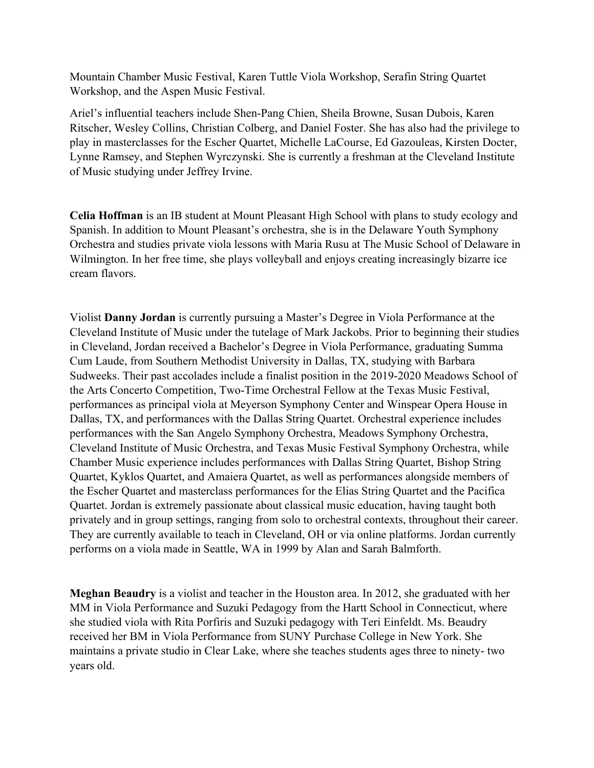Mountain Chamber Music Festival, Karen Tuttle Viola Workshop, Serafin String Quartet Workshop, and the Aspen Music Festival.

Ariel's influential teachers include Shen-Pang Chien, Sheila Browne, Susan Dubois, Karen Ritscher, Wesley Collins, Christian Colberg, and Daniel Foster. She has also had the privilege to play in masterclasses for the Escher Quartet, Michelle LaCourse, Ed Gazouleas, Kirsten Docter, Lynne Ramsey, and Stephen Wyrczynski. She is currently a freshman at the Cleveland Institute of Music studying under Jeffrey Irvine.

**Celia Hoffman** is an IB student at Mount Pleasant High School with plans to study ecology and Spanish. In addition to Mount Pleasant's orchestra, she is in the Delaware Youth Symphony Orchestra and studies private viola lessons with Maria Rusu at The Music School of Delaware in Wilmington. In her free time, she plays volleyball and enjoys creating increasingly bizarre ice cream flavors.

Violist **Danny Jordan** is currently pursuing a Master's Degree in Viola Performance at the Cleveland Institute of Music under the tutelage of Mark Jackobs. Prior to beginning their studies in Cleveland, Jordan received a Bachelor's Degree in Viola Performance, graduating Summa Cum Laude, from Southern Methodist University in Dallas, TX, studying with Barbara Sudweeks. Their past accolades include a finalist position in the 2019-2020 Meadows School of the Arts Concerto Competition, Two-Time Orchestral Fellow at the Texas Music Festival, performances as principal viola at Meyerson Symphony Center and Winspear Opera House in Dallas, TX, and performances with the Dallas String Quartet. Orchestral experience includes performances with the San Angelo Symphony Orchestra, Meadows Symphony Orchestra, Cleveland Institute of Music Orchestra, and Texas Music Festival Symphony Orchestra, while Chamber Music experience includes performances with Dallas String Quartet, Bishop String Quartet, Kyklos Quartet, and Amaiera Quartet, as well as performances alongside members of the Escher Quartet and masterclass performances for the Elias String Quartet and the Pacifica Quartet. Jordan is extremely passionate about classical music education, having taught both privately and in group settings, ranging from solo to orchestral contexts, throughout their career. They are currently available to teach in Cleveland, OH or via online platforms. Jordan currently performs on a viola made in Seattle, WA in 1999 by Alan and Sarah Balmforth.

**Meghan Beaudry** is a violist and teacher in the Houston area. In 2012, she graduated with her MM in Viola Performance and Suzuki Pedagogy from the Hartt School in Connecticut, where she studied viola with Rita Porfiris and Suzuki pedagogy with Teri Einfeldt. Ms. Beaudry received her BM in Viola Performance from SUNY Purchase College in New York. She maintains a private studio in Clear Lake, where she teaches students ages three to ninety- two years old.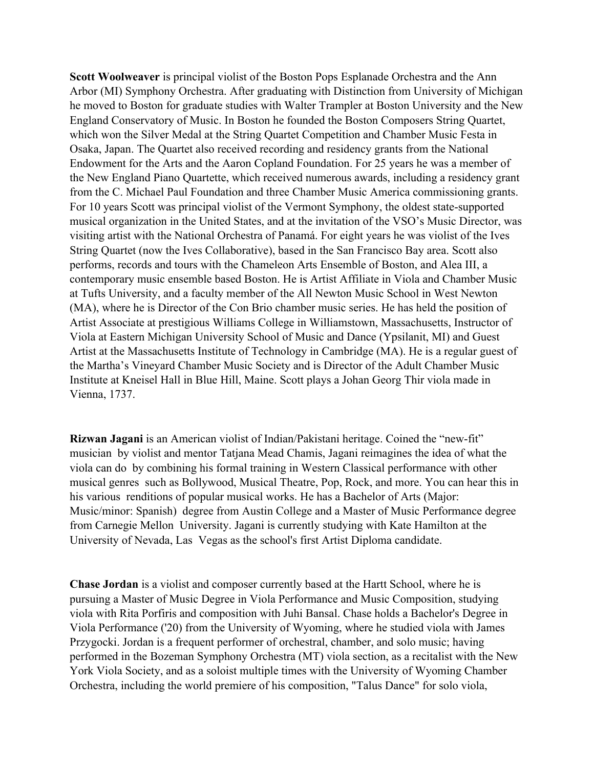**Scott Woolweaver** is principal violist of the Boston Pops Esplanade Orchestra and the Ann Arbor (MI) Symphony Orchestra. After graduating with Distinction from University of Michigan he moved to Boston for graduate studies with Walter Trampler at Boston University and the New England Conservatory of Music. In Boston he founded the Boston Composers String Quartet, which won the Silver Medal at the String Quartet Competition and Chamber Music Festa in Osaka, Japan. The Quartet also received recording and residency grants from the National Endowment for the Arts and the Aaron Copland Foundation. For 25 years he was a member of the New England Piano Quartette, which received numerous awards, including a residency grant from the C. Michael Paul Foundation and three Chamber Music America commissioning grants. For 10 years Scott was principal violist of the Vermont Symphony, the oldest state-supported musical organization in the United States, and at the invitation of the VSO's Music Director, was visiting artist with the National Orchestra of Panamá. For eight years he was violist of the Ives String Quartet (now the Ives Collaborative), based in the San Francisco Bay area. Scott also performs, records and tours with the Chameleon Arts Ensemble of Boston, and Alea III, a contemporary music ensemble based Boston. He is Artist Affiliate in Viola and Chamber Music at Tufts University, and a faculty member of the All Newton Music School in West Newton (MA), where he is Director of the Con Brio chamber music series. He has held the position of Artist Associate at prestigious Williams College in Williamstown, Massachusetts, Instructor of Viola at Eastern Michigan University School of Music and Dance (Ypsilanit, MI) and Guest Artist at the Massachusetts Institute of Technology in Cambridge (MA). He is a regular guest of the Martha's Vineyard Chamber Music Society and is Director of the Adult Chamber Music Institute at Kneisel Hall in Blue Hill, Maine. Scott plays a Johan Georg Thir viola made in Vienna, 1737.

**Rizwan Jagani** is an American violist of Indian/Pakistani heritage. Coined the "new-fit" musician by violist and mentor Tatjana Mead Chamis, Jagani reimagines the idea of what the viola can do by combining his formal training in Western Classical performance with other musical genres such as Bollywood, Musical Theatre, Pop, Rock, and more. You can hear this in his various renditions of popular musical works. He has a Bachelor of Arts (Major: Music/minor: Spanish) degree from Austin College and a Master of Music Performance degree from Carnegie Mellon University. Jagani is currently studying with Kate Hamilton at the University of Nevada, Las Vegas as the school's first Artist Diploma candidate.

**Chase Jordan** is a violist and composer currently based at the Hartt School, where he is pursuing a Master of Music Degree in Viola Performance and Music Composition, studying viola with Rita Porfiris and composition with Juhi Bansal. Chase holds a Bachelor's Degree in Viola Performance ('20) from the University of Wyoming, where he studied viola with James Przygocki. Jordan is a frequent performer of orchestral, chamber, and solo music; having performed in the Bozeman Symphony Orchestra (MT) viola section, as a recitalist with the New York Viola Society, and as a soloist multiple times with the University of Wyoming Chamber Orchestra, including the world premiere of his composition, "Talus Dance" for solo viola,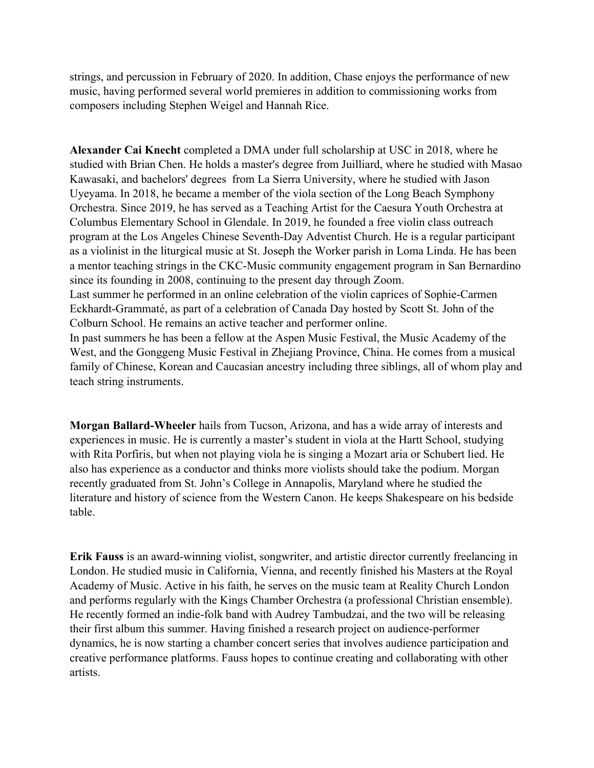strings, and percussion in February of 2020. In addition, Chase enjoys the performance of new music, having performed several world premieres in addition to commissioning works from composers including Stephen Weigel and Hannah Rice.

**Alexander Cai Knecht** completed a DMA under full scholarship at USC in 2018, where he studied with Brian Chen. He holds a master's degree from Juilliard, where he studied with Masao Kawasaki, and bachelors' degrees from La Sierra University, where he studied with Jason Uyeyama. In 2018, he became a member of the viola section of the Long Beach Symphony Orchestra. Since 2019, he has served as a Teaching Artist for the Caesura Youth Orchestra at Columbus Elementary School in Glendale. In 2019, he founded a free violin class outreach program at the Los Angeles Chinese Seventh-Day Adventist Church. He is a regular participant as a violinist in the liturgical music at St. Joseph the Worker parish in Loma Linda. He has been a mentor teaching strings in the CKC-Music community engagement program in San Bernardino since its founding in 2008, continuing to the present day through Zoom.

Last summer he performed in an online celebration of the violin caprices of Sophie-Carmen Eckhardt-Grammaté, as part of a celebration of Canada Day hosted by Scott St. John of the Colburn School. He remains an active teacher and performer online.

In past summers he has been a fellow at the Aspen Music Festival, the Music Academy of the West, and the Gonggeng Music Festival in Zhejiang Province, China. He comes from a musical family of Chinese, Korean and Caucasian ancestry including three siblings, all of whom play and teach string instruments.

**Morgan Ballard-Wheeler** hails from Tucson, Arizona, and has a wide array of interests and experiences in music. He is currently a master's student in viola at the Hartt School, studying with Rita Porfiris, but when not playing viola he is singing a Mozart aria or Schubert lied. He also has experience as a conductor and thinks more violists should take the podium. Morgan recently graduated from St. John's College in Annapolis, Maryland where he studied the literature and history of science from the Western Canon. He keeps Shakespeare on his bedside table.

**Erik Fauss** is an award-winning violist, songwriter, and artistic director currently freelancing in London. He studied music in California, Vienna, and recently finished his Masters at the Royal Academy of Music. Active in his faith, he serves on the music team at Reality Church London and performs regularly with the Kings Chamber Orchestra (a professional Christian ensemble). He recently formed an indie-folk band with Audrey Tambudzai, and the two will be releasing their first album this summer. Having finished a research project on audience-performer dynamics, he is now starting a chamber concert series that involves audience participation and creative performance platforms. Fauss hopes to continue creating and collaborating with other artists.